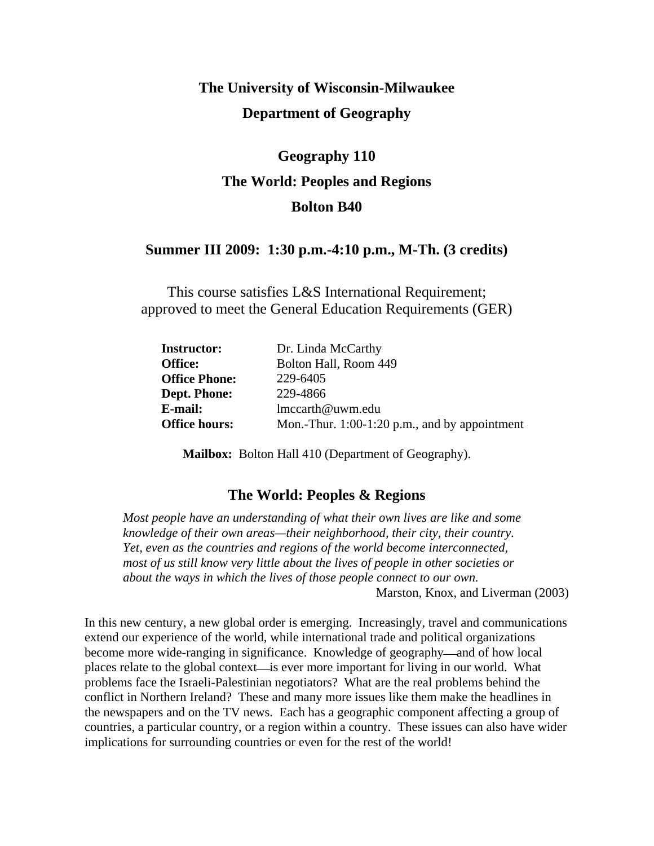## **The University of Wisconsin-Milwaukee Department of Geography**

# **Geography 110 The World: Peoples and Regions Bolton B40**

### **Summer III 2009: 1:30 p.m.-4:10 p.m., M-Th. (3 credits)**

This course satisfies L&S International Requirement; approved to meet the General Education Requirements (GER)

| Dr. Linda McCarthy                              |
|-------------------------------------------------|
| Bolton Hall, Room 449                           |
| 229-6405                                        |
| 229-4866                                        |
| lmccarth@uwm.edu                                |
| Mon.-Thur. $1:00-1:20$ p.m., and by appointment |
|                                                 |

**Mailbox:** Bolton Hall 410 (Department of Geography).

## **The World: Peoples & Regions**

*Most people have an understanding of what their own lives are like and some knowledge of their own areas—their neighborhood, their city, their country. Yet, even as the countries and regions of the world become interconnected, most of us still know very little about the lives of people in other societies or about the ways in which the lives of those people connect to our own.* 

Marston, Knox, and Liverman (2003)

In this new century, a new global order is emerging. Increasingly, travel and communications extend our experience of the world, while international trade and political organizations become more wide-ranging in significance. Knowledge of geography—and of how local places relate to the global context—is ever more important for living in our world. What problems face the Israeli-Palestinian negotiators? What are the real problems behind the conflict in Northern Ireland? These and many more issues like them make the headlines in the newspapers and on the TV news. Each has a geographic component affecting a group of countries, a particular country, or a region within a country. These issues can also have wider implications for surrounding countries or even for the rest of the world!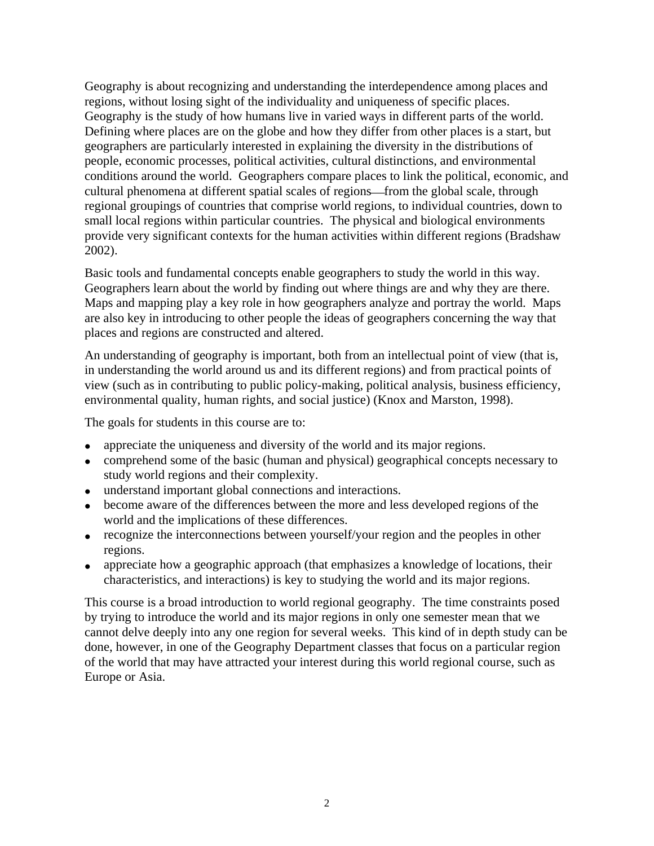Geography is about recognizing and understanding the interdependence among places and regions, without losing sight of the individuality and uniqueness of specific places. Geography is the study of how humans live in varied ways in different parts of the world. Defining where places are on the globe and how they differ from other places is a start, but geographers are particularly interested in explaining the diversity in the distributions of people, economic processes, political activities, cultural distinctions, and environmental conditions around the world. Geographers compare places to link the political, economic, and cultural phenomena at different spatial scales of regions—from the global scale, through regional groupings of countries that comprise world regions, to individual countries, down to small local regions within particular countries. The physical and biological environments provide very significant contexts for the human activities within different regions (Bradshaw 2002).

Basic tools and fundamental concepts enable geographers to study the world in this way. Geographers learn about the world by finding out where things are and why they are there. Maps and mapping play a key role in how geographers analyze and portray the world. Maps are also key in introducing to other people the ideas of geographers concerning the way that places and regions are constructed and altered.

An understanding of geography is important, both from an intellectual point of view (that is, in understanding the world around us and its different regions) and from practical points of view (such as in contributing to public policy-making, political analysis, business efficiency, environmental quality, human rights, and social justice) (Knox and Marston, 1998).

The goals for students in this course are to:

- appreciate the uniqueness and diversity of the world and its major regions.
- comprehend some of the basic (human and physical) geographical concepts necessary to study world regions and their complexity.
- understand important global connections and interactions.
- become aware of the differences between the more and less developed regions of the world and the implications of these differences.
- recognize the interconnections between yourself/your region and the peoples in other regions.
- appreciate how a geographic approach (that emphasizes a knowledge of locations, their characteristics, and interactions) is key to studying the world and its major regions.

This course is a broad introduction to world regional geography. The time constraints posed by trying to introduce the world and its major regions in only one semester mean that we cannot delve deeply into any one region for several weeks. This kind of in depth study can be done, however, in one of the Geography Department classes that focus on a particular region of the world that may have attracted your interest during this world regional course, such as Europe or Asia.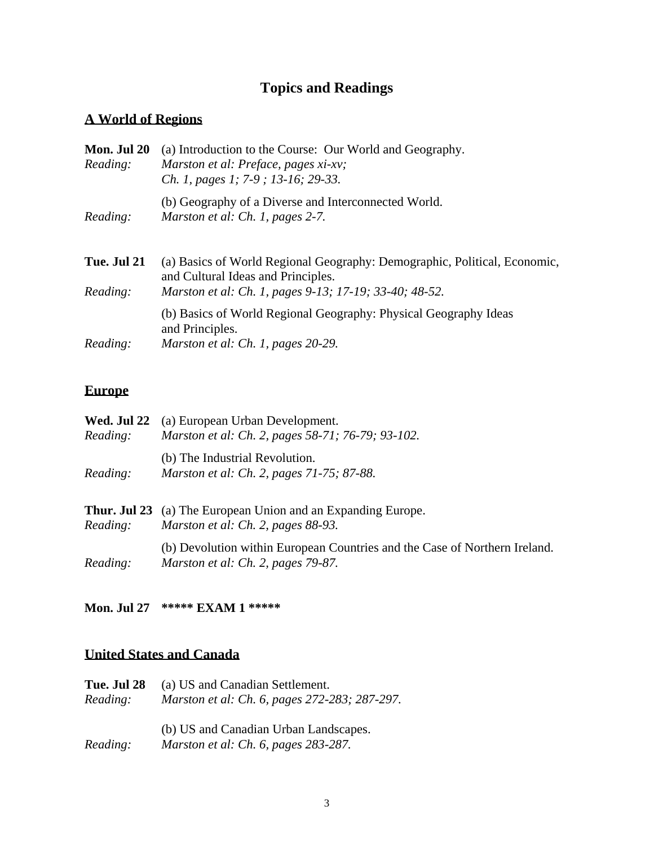## **Topics and Readings**

## **A World of Regions**

| Mon. Jul 20<br>Reading: | (a) Introduction to the Course: Our World and Geography.<br>Marston et al: Preface, pages xi-xv;<br>Ch. 1, pages 1; 7-9; 13-16; 29-33.                                    |
|-------------------------|---------------------------------------------------------------------------------------------------------------------------------------------------------------------------|
| Reading:                | (b) Geography of a Diverse and Interconnected World.<br>Marston et al: Ch. 1, pages 2-7.                                                                                  |
| Tue. Jul 21<br>Reading: | (a) Basics of World Regional Geography: Demographic, Political, Economic,<br>and Cultural Ideas and Principles.<br>Marston et al: Ch. 1, pages 9-13; 17-19; 33-40; 48-52. |
| Reading:                | (b) Basics of World Regional Geography: Physical Geography Ideas<br>and Principles.<br>Marston et al: Ch. 1, pages 20-29.                                                 |

## **Europe**

| <b>Wed. Jul 22</b><br>Reading: | (a) European Urban Development.<br>Marston et al: Ch. 2, pages 58-71; 76-79; 93-102.                             |
|--------------------------------|------------------------------------------------------------------------------------------------------------------|
| Reading:                       | (b) The Industrial Revolution.<br>Marston et al: Ch. 2, pages 71-75; 87-88.                                      |
| Reading:                       | <b>Thur. Jul 23</b> (a) The European Union and an Expanding Europe.<br>Marston et al: Ch. 2, pages 88-93.        |
| Reading:                       | (b) Devolution within European Countries and the Case of Northern Ireland.<br>Marston et al: Ch. 2, pages 79-87. |

## **Mon. Jul 27 \*\*\*\*\* EXAM 1 \*\*\*\*\***

## **United States and Canada**

| Tue. Jul 28 | (a) US and Canadian Settlement.                                               |
|-------------|-------------------------------------------------------------------------------|
| Reading:    | Marston et al: Ch. 6, pages 272-283; 287-297.                                 |
| Reading:    | (b) US and Canadian Urban Landscapes.<br>Marston et al: Ch. 6, pages 283-287. |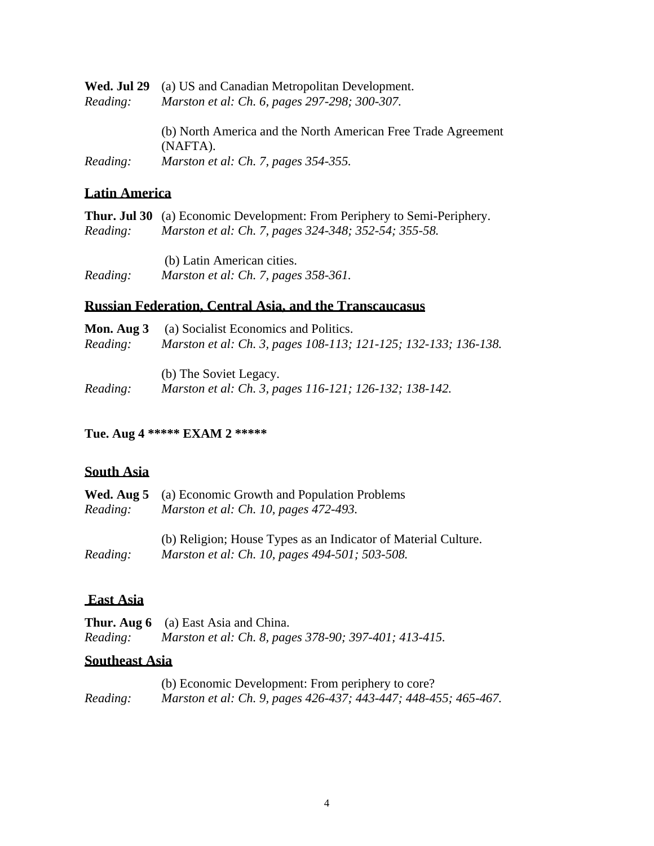| Wed. Jul 29<br>Reading: | (a) US and Canadian Metropolitan Development.<br>Marston et al: Ch. 6, pages 297-298; 300-307. |
|-------------------------|------------------------------------------------------------------------------------------------|
|                         | (b) North America and the North American Free Trade Agreement<br>(NAFTA).                      |
| Reading:                | Marston et al: Ch. 7, pages 354-355.                                                           |

## **Latin America**

|          | <b>Thur. Jul 30</b> (a) Economic Development: From Periphery to Semi-Periphery. |
|----------|---------------------------------------------------------------------------------|
| Reading: | Marston et al: Ch. 7, pages 324-348; 352-54; 355-58.                            |
|          |                                                                                 |
|          | (b) Latin American cities.                                                      |
| Reading: | Marston et al: Ch. 7, pages 358-361.                                            |

## **Russian Federation, Central Asia, and the Transcaucasus**

| Mon. Aug 3 | (a) Socialist Economics and Politics.                                            |
|------------|----------------------------------------------------------------------------------|
| Reading:   | Marston et al: Ch. 3, pages 108-113; 121-125; 132-133; 136-138.                  |
| Reading:   | (b) The Soviet Legacy.<br>Marston et al: Ch. 3, pages 116-121; 126-132; 138-142. |

### **Tue. Aug 4 \*\*\*\*\* EXAM 2 \*\*\*\*\***

## **South Asia**

|          | <b>Wed. Aug 5</b> (a) Economic Growth and Population Problems  |
|----------|----------------------------------------------------------------|
| Reading: | Marston et al: Ch. 10, pages 472-493.                          |
|          |                                                                |
|          | (b) Religion; House Types as an Indicator of Material Culture. |
| Reading: | Marston et al: Ch. 10, pages 494-501; 503-508.                 |

### **East Asia**

|          | <b>Thur. Aug 6</b> (a) East Asia and China.           |
|----------|-------------------------------------------------------|
| Reading: | Marston et al: Ch. 8, pages 378-90; 397-401; 413-415. |

## **Southeast Asia**

|          | (b) Economic Development: From periphery to core?               |
|----------|-----------------------------------------------------------------|
| Reading: | Marston et al: Ch. 9, pages 426-437; 443-447; 448-455; 465-467. |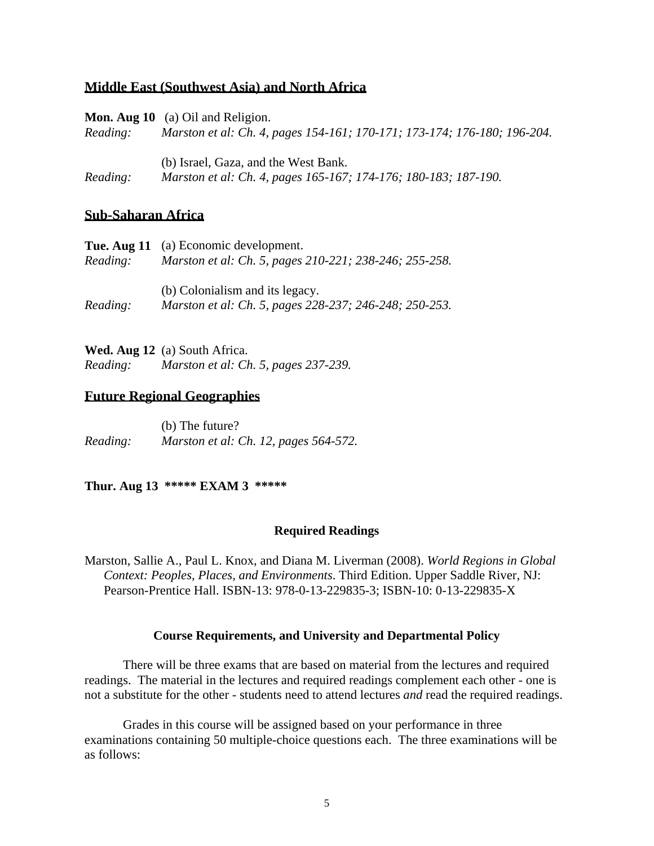### **Middle East (Southwest Asia) and North Africa**

| Reading: | <b>Mon. Aug 10</b> (a) Oil and Religion.<br>Marston et al: Ch. 4, pages 154-161; 170-171; 173-174; 176-180; 196-204. |
|----------|----------------------------------------------------------------------------------------------------------------------|
| Reading: | (b) Israel, Gaza, and the West Bank.<br>Marston et al: Ch. 4, pages 165-167; 174-176; 180-183; 187-190.              |

#### **Sub-Saharan Africa**

|          | <b>Tue. Aug 11</b> (a) Economic development.           |
|----------|--------------------------------------------------------|
| Reading: | Marston et al: Ch. 5, pages 210-221; 238-246; 255-258. |
|          |                                                        |
|          | (b) Colonialism and its legacy.                        |
| Reading: | Marston et al: Ch. 5, pages 228-237; 246-248; 250-253. |

**Wed. Aug 12** (a) South Africa. *Reading: Marston et al: Ch. 5, pages 237-239.* 

#### **Future Regional Geographies**

(b) The future? *Reading: Marston et al: Ch. 12, pages 564-572.* 

**Thur. Aug 13 \*\*\*\*\* EXAM 3 \*\*\*\*\***

#### **Required Readings**

Marston, Sallie A., Paul L. Knox, and Diana M. Liverman (2008). *World Regions in Global Context: Peoples, Places, and Environments*. Third Edition. Upper Saddle River, NJ: Pearson-Prentice Hall. ISBN-13: 978-0-13-229835-3; ISBN-10: 0-13-229835-X

#### **Course Requirements, and University and Departmental Policy**

 There will be three exams that are based on material from the lectures and required readings. The material in the lectures and required readings complement each other - one is not a substitute for the other - students need to attend lectures *and* read the required readings.

 Grades in this course will be assigned based on your performance in three examinations containing 50 multiple-choice questions each. The three examinations will be as follows: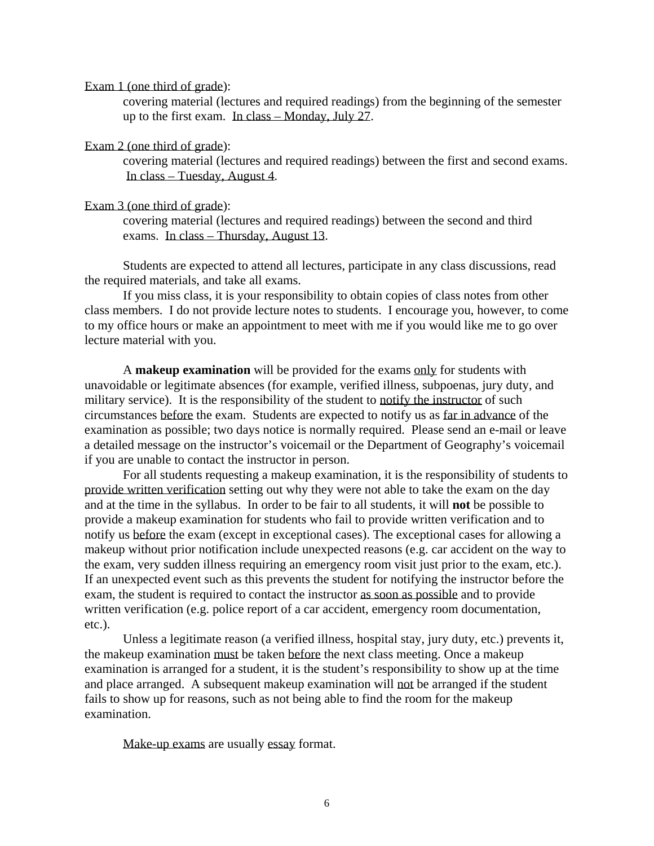Exam 1 (one third of grade):

 covering material (lectures and required readings) from the beginning of the semester up to the first exam. In class – Monday, July 27.

#### Exam 2 (one third of grade):

 covering material (lectures and required readings) between the first and second exams. In class – Tuesday, August 4.

#### Exam 3 (one third of grade):

 covering material (lectures and required readings) between the second and third exams. In class – Thursday, August 13.

 Students are expected to attend all lectures, participate in any class discussions, read the required materials, and take all exams.

 If you miss class, it is your responsibility to obtain copies of class notes from other class members. I do not provide lecture notes to students. I encourage you, however, to come to my office hours or make an appointment to meet with me if you would like me to go over lecture material with you.

 A **makeup examination** will be provided for the exams only for students with unavoidable or legitimate absences (for example, verified illness, subpoenas, jury duty, and military service). It is the responsibility of the student to notify the instructor of such circumstances before the exam. Students are expected to notify us as far in advance of the examination as possible; two days notice is normally required. Please send an e-mail or leave a detailed message on the instructor's voicemail or the Department of Geography's voicemail if you are unable to contact the instructor in person.

 For all students requesting a makeup examination, it is the responsibility of students to provide written verification setting out why they were not able to take the exam on the day and at the time in the syllabus. In order to be fair to all students, it will **not** be possible to provide a makeup examination for students who fail to provide written verification and to notify us before the exam (except in exceptional cases). The exceptional cases for allowing a makeup without prior notification include unexpected reasons (e.g. car accident on the way to the exam, very sudden illness requiring an emergency room visit just prior to the exam, etc.). If an unexpected event such as this prevents the student for notifying the instructor before the exam, the student is required to contact the instructor as soon as possible and to provide written verification (e.g. police report of a car accident, emergency room documentation, etc.).

 Unless a legitimate reason (a verified illness, hospital stay, jury duty, etc.) prevents it, the makeup examination must be taken before the next class meeting. Once a makeup examination is arranged for a student, it is the student's responsibility to show up at the time and place arranged. A subsequent makeup examination will not be arranged if the student fails to show up for reasons, such as not being able to find the room for the makeup examination.

Make-up exams are usually essay format.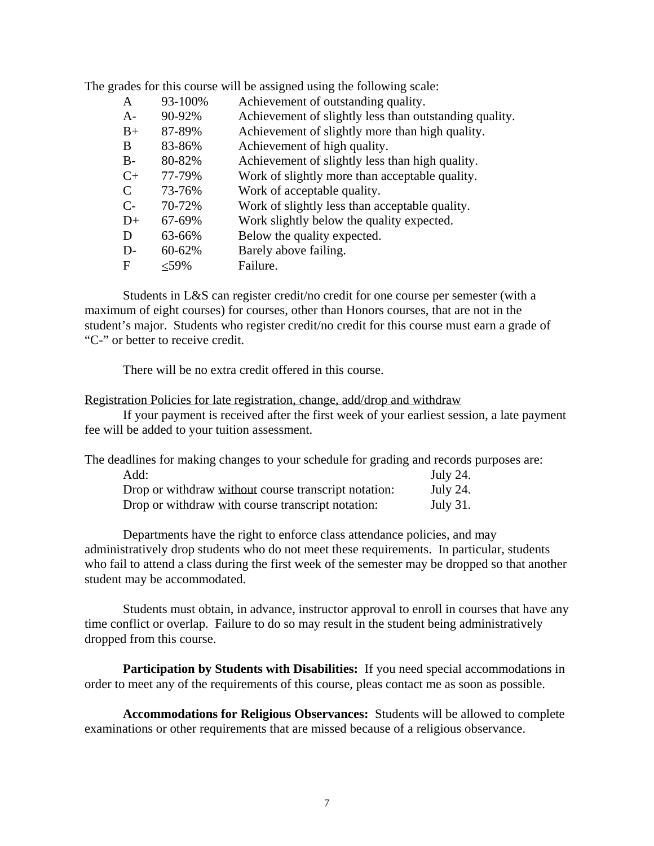| A             | 93-100% | Achievement of outstanding quality.                    |
|---------------|---------|--------------------------------------------------------|
| $A-$          | 90-92%  | Achievement of slightly less than outstanding quality. |
| $B+$          | 87-89%  | Achievement of slightly more than high quality.        |
| B             | 83-86%  | Achievement of high quality.                           |
| $B-$          | 80-82%  | Achievement of slightly less than high quality.        |
| $C_{+}$       | 77-79%  | Work of slightly more than acceptable quality.         |
| $\mathcal{C}$ | 73-76%  | Work of acceptable quality.                            |
| $C-$          | 70-72%  | Work of slightly less than acceptable quality.         |
| $D+$          | 67-69%  | Work slightly below the quality expected.              |
| D             | 63-66%  | Below the quality expected.                            |
| D-            | 60-62%  | Barely above failing.                                  |
| F             | $<$ 59% | Failure.                                               |
|               |         |                                                        |

The grades for this course will be assigned using the following scale:

 Students in L&S can register credit/no credit for one course per semester (with a maximum of eight courses) for courses, other than Honors courses, that are not in the student's major. Students who register credit/no credit for this course must earn a grade of "C-" or better to receive credit.

There will be no extra credit offered in this course.

#### Registration Policies for late registration, change, add/drop and withdraw

 If your payment is received after the first week of your earliest session, a late payment fee will be added to your tuition assessment.

| The deadlines for making changes to your schedule for grading and records purposes are: |                 |
|-----------------------------------------------------------------------------------------|-----------------|
| Add:                                                                                    | July 24.        |
| Drop or withdraw without course transcript notation:                                    | July 24.        |
| Drop or withdraw with course transcript notation:                                       | <b>July 31.</b> |

Departments have the right to enforce class attendance policies, and may administratively drop students who do not meet these requirements. In particular, students who fail to attend a class during the first week of the semester may be dropped so that another student may be accommodated.

Students must obtain, in advance, instructor approval to enroll in courses that have any time conflict or overlap. Failure to do so may result in the student being administratively dropped from this course.

**Participation by Students with Disabilities:** If you need special accommodations in order to meet any of the requirements of this course, pleas contact me as soon as possible.

**Accommodations for Religious Observances:** Students will be allowed to complete examinations or other requirements that are missed because of a religious observance.